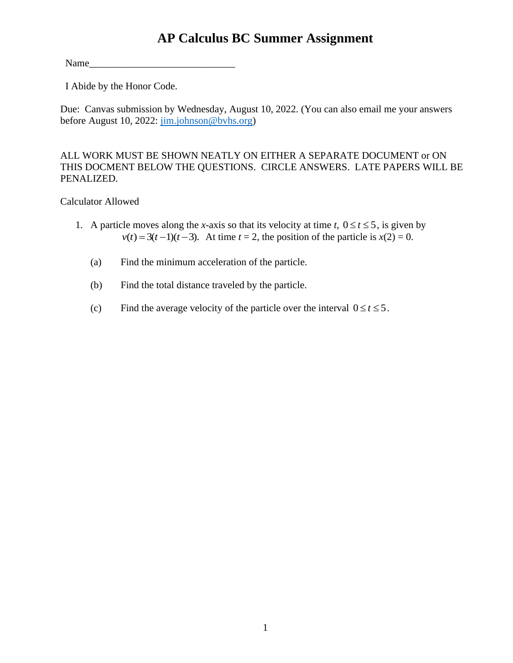# **AP Calculus BC Summer Assignment**

 $Name_$ 

I Abide by the Honor Code.

Due: Canvas submission by Wednesday, August 10, 2022. (You can also email me your answers before August 10, 2022: [jim.johnson@bvhs.org\)](mailto:jim.johnson@bvhs.org)

#### ALL WORK MUST BE SHOWN NEATLY ON EITHER A SEPARATE DOCUMENT or ON THIS DOCMENT BELOW THE QUESTIONS. CIRCLE ANSWERS. LATE PAPERS WILL BE PENALIZED.

#### Calculator Allowed

- 1. A particle moves along the *x*-axis so that its velocity at time *t*,  $0 \le t \le 5$ , is given by  $v(t) = 3(t-1)(t-3)$ . At time  $t = 2$ , the position of the particle is  $x(2) = 0$ .
	- (a) Find the minimum acceleration of the particle.
	- (b) Find the total distance traveled by the particle.
	- (c) Find the average velocity of the particle over the interval  $0 \le t \le 5$ .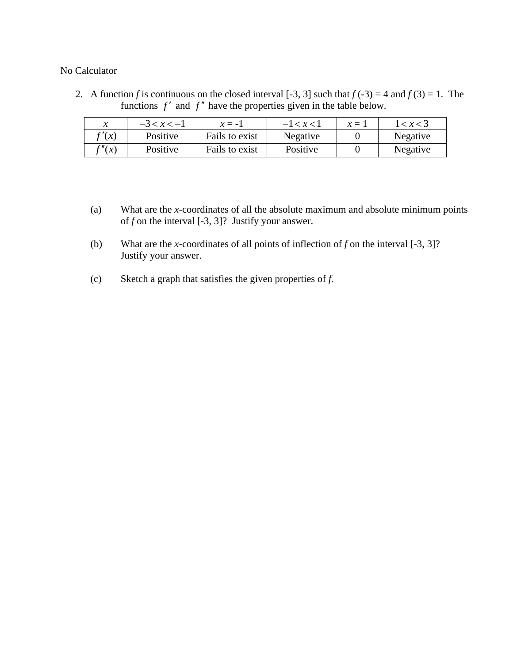2. A function *f* is continuous on the closed interval [-3, 3] such that  $f(-3) = 4$  and  $f(3) = 1$ . The functions  $f'$  and  $f''$  have the properties given in the table below.

|                     | $-3 < x < -1$ | $x = -1$       | $-1 < x < 1$ | $x =$ | 1 < x < 3 |
|---------------------|---------------|----------------|--------------|-------|-----------|
| $\gamma(x)$         | Positive      | Fails to exist | Negative     |       | Negative  |
| $\mathfrak{C}''(x)$ | Positive      | Fails to exist | Positive     |       | Negative  |

- (a) What are the *x*-coordinates of all the absolute maximum and absolute minimum points of *f* on the interval [-3, 3]? Justify your answer.
- (b) What are the *x*-coordinates of all points of inflection of *f* on the interval [-3, 3]? Justify your answer.
- (c) Sketch a graph that satisfies the given properties of *f.*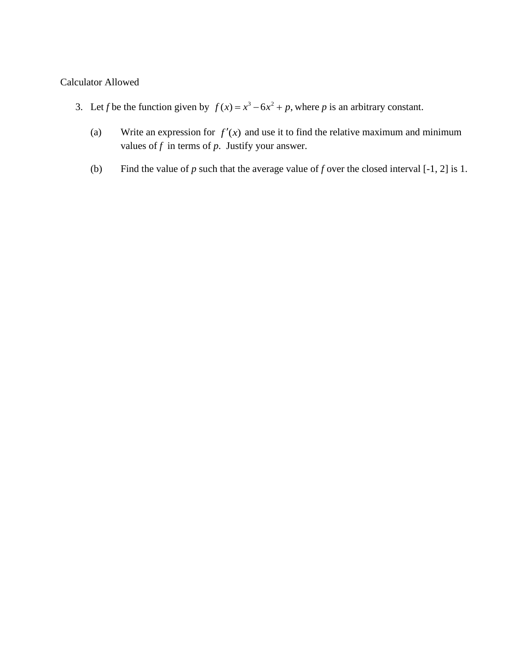### Calculator Allowed

- 3. Let *f* be the function given by  $f(x) = x^3 6x^2 + p$ , where *p* is an arbitrary constant.
	- (a) Write an expression for  $f'(x)$  and use it to find the relative maximum and minimum values of  $f$  in terms of  $p$ . Justify your answer.
	- (b) Find the value of  $p$  such that the average value of  $f$  over the closed interval [-1, 2] is 1.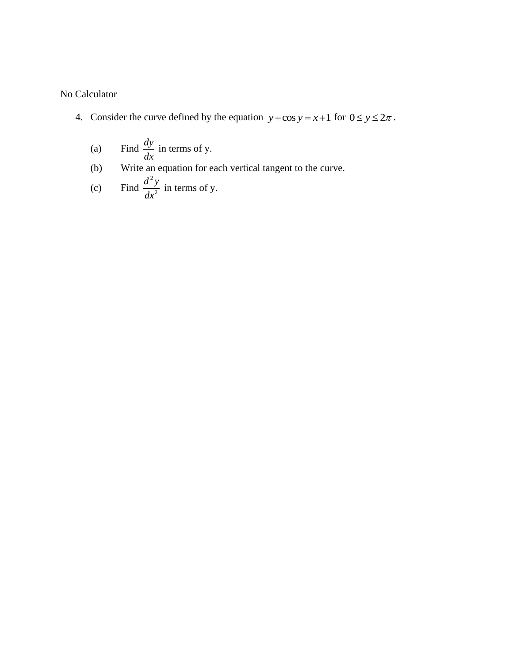- 4. Consider the curve defined by the equation  $y + \cos y = x + 1$  for  $0 \le y \le 2\pi$ .
	- (a) Find  $\frac{dy}{dx}$ *dx* in terms of y.
	- (b) Write an equation for each vertical tangent to the curve.

(c) Find 
$$
\frac{d^2y}{dx^2}
$$
 in terms of y.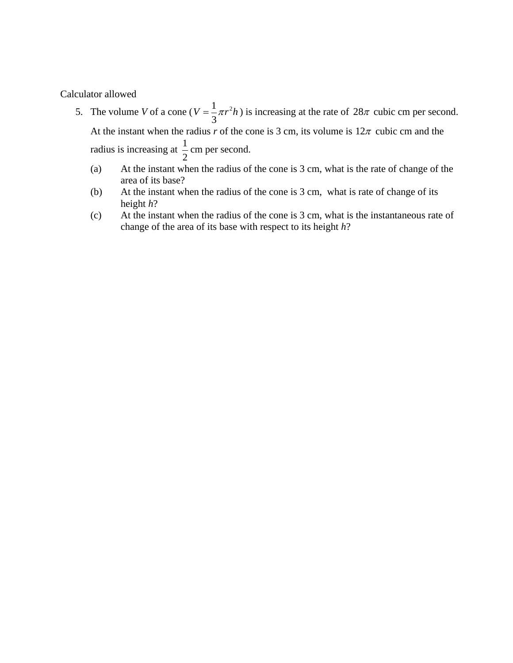Calculator allowed

- 5. The volume *V* of a cone ( $V = \frac{1}{2}\pi r^2$ 3  $V = \frac{1}{2}\pi r^2 h$ ) is increasing at the rate of  $28\pi$  cubic cm per second. At the instant when the radius r of the cone is 3 cm, its volume is  $12\pi$  cubic cm and the radius is increasing at  $\frac{1}{2}$ 2 cm per second.
	- (a) At the instant when the radius of the cone is 3 cm, what is the rate of change of the area of its base?
	- (b) At the instant when the radius of the cone is 3 cm, what is rate of change of its height *h*?
	- (c) At the instant when the radius of the cone is 3 cm, what is the instantaneous rate of change of the area of its base with respect to its height *h*?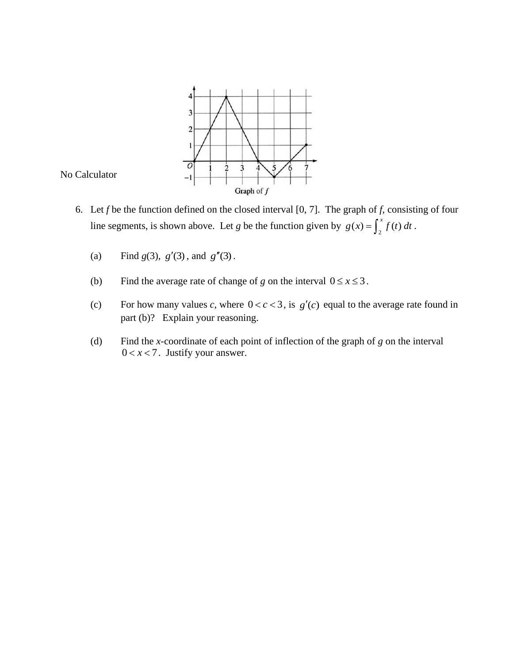



- 6. Let *f* be the function defined on the closed interval [0, 7]. The graph of *f*, consisting of four line segments, is shown above. Let *g* be the function given by  $g(x) = \int_2^x f(t) dt$ .
	- (a) Find  $g(3)$ ,  $g'(3)$ , and  $g''(3)$ .
	- (b) Find the average rate of change of *g* on the interval  $0 \le x \le 3$ .
	- (c) For how many values *c*, where  $0 < c < 3$ , is  $g'(c)$  equal to the average rate found in part (b)? Explain your reasoning.
	- (d) Find the *x-*coordinate of each point of inflection of the graph of *g* on the interval  $0 < x < 7$ . Justify your answer.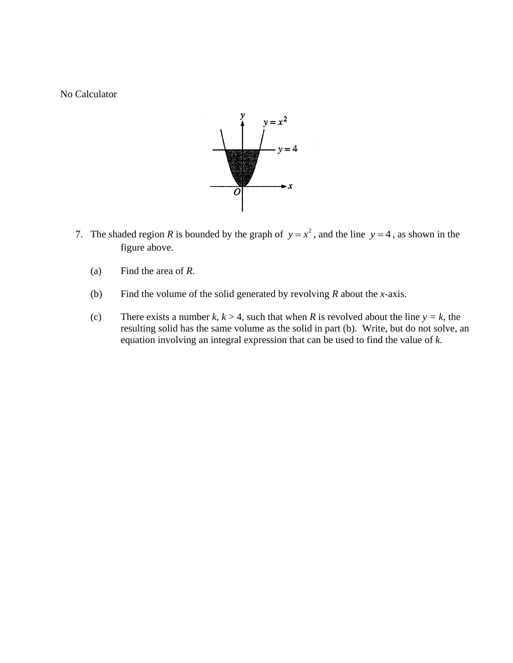

- 7. The shaded region *R* is bounded by the graph of  $y = x^2$ , and the line  $y = 4$ , as shown in the figure above.
	- (a) Find the area of *R.*
	- (b) Find the volume of the solid generated by revolving *R* about the *x*-axis.
	- (c) There exists a number  $k, k > 4$ , such that when  $R$  is revolved about the line  $y = k$ , the resulting solid has the same volume as the solid in part (b). Write, but do not solve, an equation involving an integral expression that can be used to find the value of *k*.